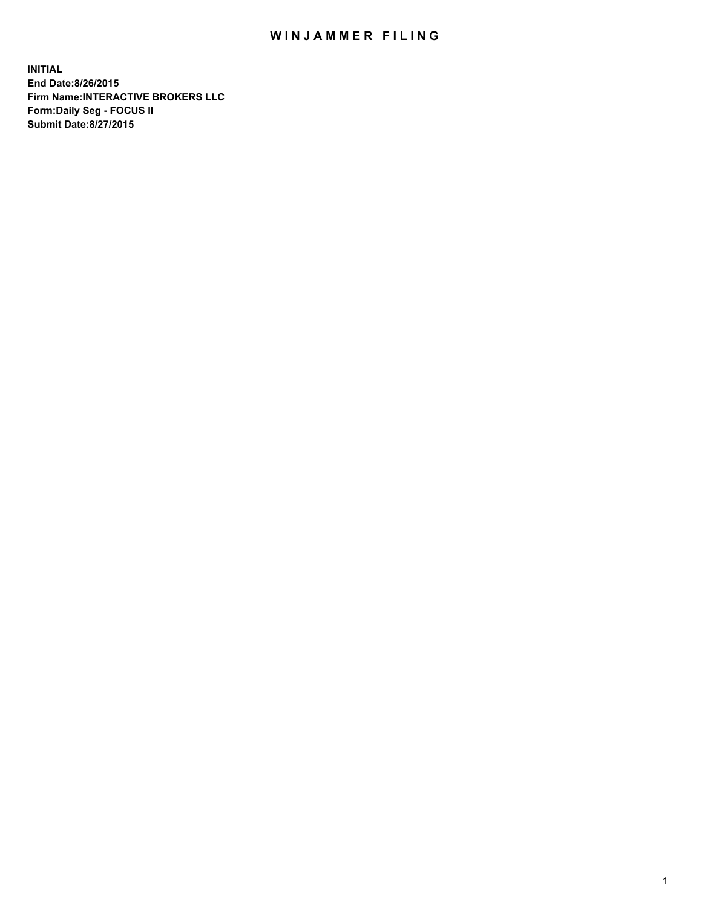## WIN JAMMER FILING

**INITIAL End Date:8/26/2015 Firm Name:INTERACTIVE BROKERS LLC Form:Daily Seg - FOCUS II Submit Date:8/27/2015**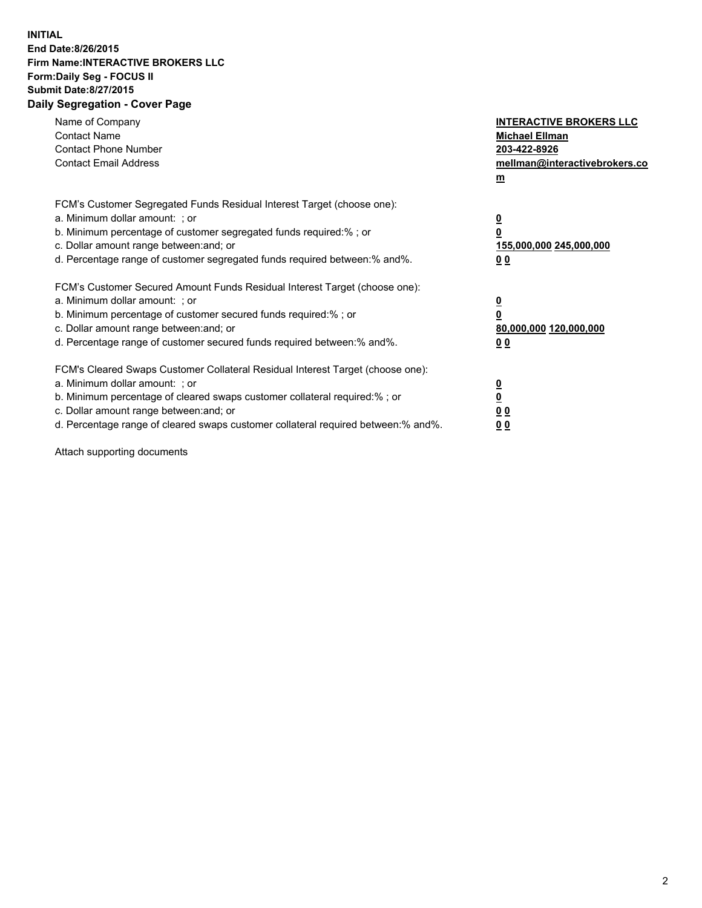## **INITIAL End Date:8/26/2015 Firm Name:INTERACTIVE BROKERS LLC Form:Daily Seg - FOCUS II Submit Date:8/27/2015 Daily Segregation - Cover Page**

| Name of Company<br><b>Contact Name</b><br><b>Contact Phone Number</b><br><b>Contact Email Address</b>                                                                                                                                                                                                                          | <b>INTERACTIVE BROKERS LLC</b><br><b>Michael Ellman</b><br>203-422-8926<br>mellman@interactivebrokers.co<br>$m$ |
|--------------------------------------------------------------------------------------------------------------------------------------------------------------------------------------------------------------------------------------------------------------------------------------------------------------------------------|-----------------------------------------------------------------------------------------------------------------|
| FCM's Customer Segregated Funds Residual Interest Target (choose one):<br>a. Minimum dollar amount: ; or<br>b. Minimum percentage of customer segregated funds required:% ; or<br>c. Dollar amount range between: and; or<br>d. Percentage range of customer segregated funds required between: % and %.                       | $\overline{\mathbf{0}}$<br>0<br>155,000,000 245,000,000<br>00                                                   |
| FCM's Customer Secured Amount Funds Residual Interest Target (choose one):<br>a. Minimum dollar amount: ; or<br>b. Minimum percentage of customer secured funds required:%; or<br>c. Dollar amount range between: and; or<br>d. Percentage range of customer secured funds required between: % and %.                          | $\overline{\mathbf{0}}$<br>0<br>80,000,000 120,000,000<br>0 <sub>0</sub>                                        |
| FCM's Cleared Swaps Customer Collateral Residual Interest Target (choose one):<br>a. Minimum dollar amount: ; or<br>b. Minimum percentage of cleared swaps customer collateral required:% ; or<br>c. Dollar amount range between: and; or<br>d. Percentage range of cleared swaps customer collateral required between:% and%. | $\overline{\mathbf{0}}$<br>$\underline{\mathbf{0}}$<br>0 <sub>0</sub><br>0 <sub>0</sub>                         |

Attach supporting documents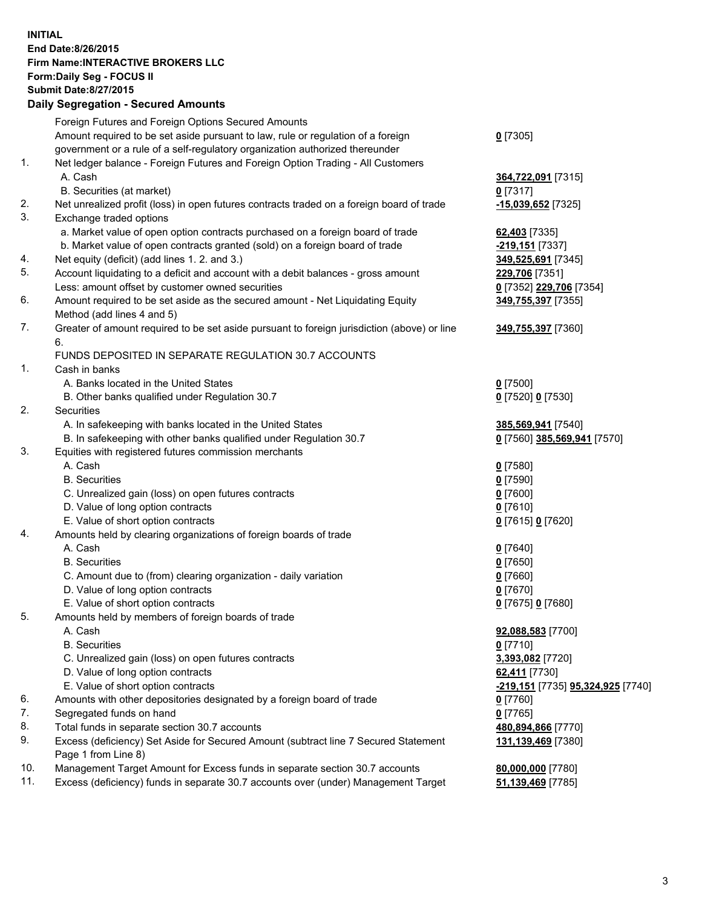## **INITIAL End Date:8/26/2015 Firm Name:INTERACTIVE BROKERS LLC Form:Daily Seg - FOCUS II Submit Date:8/27/2015 Daily Segregation - Secured Amounts**

|     | Dany Ocgregation - Oceanea Annoanta                                                                        |                                                       |
|-----|------------------------------------------------------------------------------------------------------------|-------------------------------------------------------|
|     | Foreign Futures and Foreign Options Secured Amounts                                                        |                                                       |
|     | Amount required to be set aside pursuant to law, rule or regulation of a foreign                           | $0$ [7305]                                            |
|     | government or a rule of a self-regulatory organization authorized thereunder                               |                                                       |
| 1.  | Net ledger balance - Foreign Futures and Foreign Option Trading - All Customers                            |                                                       |
|     | A. Cash                                                                                                    | 364,722,091 [7315]                                    |
|     | B. Securities (at market)                                                                                  | $0$ [7317]                                            |
| 2.  | Net unrealized profit (loss) in open futures contracts traded on a foreign board of trade                  | -15,039,652 <sup>[7325]</sup>                         |
| 3.  | Exchange traded options                                                                                    |                                                       |
|     | a. Market value of open option contracts purchased on a foreign board of trade                             | 62,403 [7335]                                         |
|     | b. Market value of open contracts granted (sold) on a foreign board of trade                               | <mark>-219,151</mark> [7337]                          |
| 4.  | Net equity (deficit) (add lines 1.2. and 3.)                                                               | 349,525,691 [7345]                                    |
| 5.  | Account liquidating to a deficit and account with a debit balances - gross amount                          | 229,706 [7351]                                        |
|     | Less: amount offset by customer owned securities                                                           | 0 [7352] 229,706 [7354]                               |
| 6.  | Amount required to be set aside as the secured amount - Net Liquidating Equity                             | 349,755,397 [7355]                                    |
|     | Method (add lines 4 and 5)                                                                                 |                                                       |
| 7.  | Greater of amount required to be set aside pursuant to foreign jurisdiction (above) or line                | 349,755,397 [7360]                                    |
|     | 6.                                                                                                         |                                                       |
|     | FUNDS DEPOSITED IN SEPARATE REGULATION 30.7 ACCOUNTS                                                       |                                                       |
| 1.  | Cash in banks                                                                                              |                                                       |
|     | A. Banks located in the United States                                                                      | $0$ [7500]                                            |
|     | B. Other banks qualified under Regulation 30.7                                                             | 0 [7520] 0 [7530]                                     |
| 2.  | Securities                                                                                                 |                                                       |
|     | A. In safekeeping with banks located in the United States                                                  | 385,569,941 [7540]                                    |
|     | B. In safekeeping with other banks qualified under Regulation 30.7                                         | 0 [7560] 385,569,941 [7570]                           |
| 3.  | Equities with registered futures commission merchants                                                      |                                                       |
|     | A. Cash                                                                                                    | $0$ [7580]                                            |
|     | <b>B.</b> Securities                                                                                       | $0$ [7590]                                            |
|     | C. Unrealized gain (loss) on open futures contracts                                                        | $0$ [7600]                                            |
|     | D. Value of long option contracts                                                                          | $0$ [7610]                                            |
|     | E. Value of short option contracts                                                                         | 0 [7615] 0 [7620]                                     |
| 4.  | Amounts held by clearing organizations of foreign boards of trade                                          |                                                       |
|     | A. Cash                                                                                                    | $0$ [7640]                                            |
|     | <b>B.</b> Securities                                                                                       | $0$ [7650]                                            |
|     | C. Amount due to (from) clearing organization - daily variation                                            | $0$ [7660]                                            |
|     | D. Value of long option contracts                                                                          | $0$ [7670]                                            |
|     | E. Value of short option contracts                                                                         | 0 [7675] 0 [7680]                                     |
| 5.  | Amounts held by members of foreign boards of trade                                                         |                                                       |
|     | A. Cash                                                                                                    | 92,088,583 [7700]                                     |
|     | <b>B.</b> Securities                                                                                       | $0$ [7710]                                            |
|     | C. Unrealized gain (loss) on open futures contracts                                                        | 3,393,082 [7720]                                      |
|     | D. Value of long option contracts                                                                          | 62,411 [7730]                                         |
|     | E. Value of short option contracts                                                                         | <mark>-219,151</mark> [7735] <b>95,324,925</b> [7740] |
| 6.  | Amounts with other depositories designated by a foreign board of trade                                     | 0 [7760]                                              |
| 7.  | Segregated funds on hand                                                                                   | $0$ [7765]                                            |
| 8.  | Total funds in separate section 30.7 accounts                                                              | 480,894,866 [7770]                                    |
| 9.  | Excess (deficiency) Set Aside for Secured Amount (subtract line 7 Secured Statement<br>Page 1 from Line 8) | 131,139,469 [7380]                                    |
| 10. | Management Target Amount for Excess funds in separate section 30.7 accounts                                | 80,000,000 [7780]                                     |
| 11. | Excess (deficiency) funds in separate 30.7 accounts over (under) Management Target                         | 51,139,469 [7785]                                     |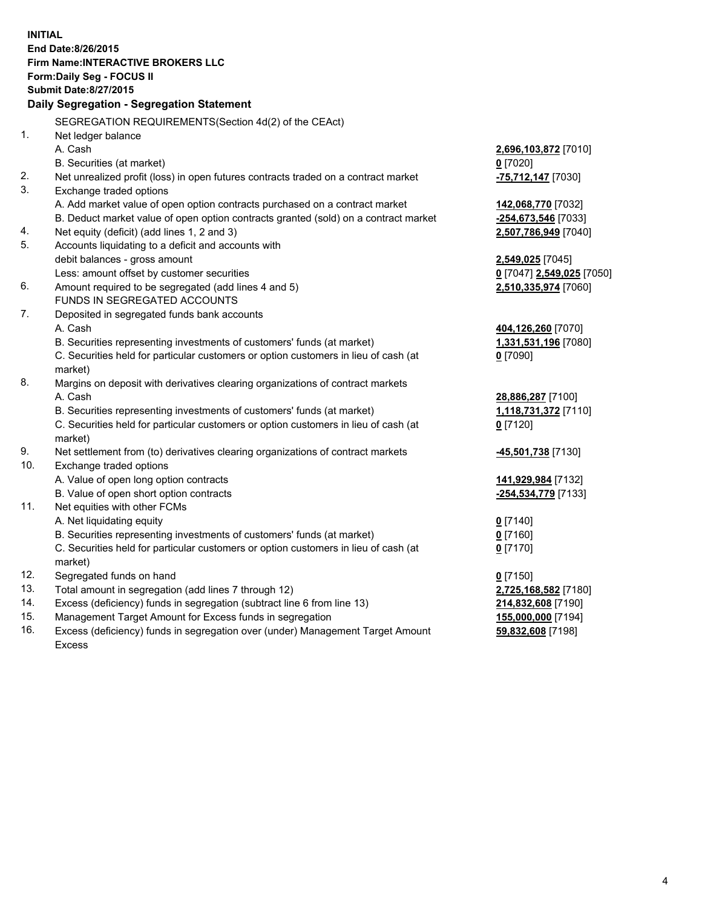**INITIAL End Date:8/26/2015 Firm Name:INTERACTIVE BROKERS LLC Form:Daily Seg - FOCUS II Submit Date:8/27/2015 Daily Segregation - Segregation Statement** SEGREGATION REQUIREMENTS(Section 4d(2) of the CEAct) 1. Net ledger balance A. Cash **2,696,103,872** [7010] B. Securities (at market) **0** [7020] 2. Net unrealized profit (loss) in open futures contracts traded on a contract market **-75,712,147** [7030] 3. Exchange traded options A. Add market value of open option contracts purchased on a contract market **142,068,770** [7032] B. Deduct market value of open option contracts granted (sold) on a contract market **-254,673,546** [7033] 4. Net equity (deficit) (add lines 1, 2 and 3) **2,507,786,949** [7040] 5. Accounts liquidating to a deficit and accounts with debit balances - gross amount **2,549,025** [7045] Less: amount offset by customer securities **0** [7047] **2,549,025** [7050] 6. Amount required to be segregated (add lines 4 and 5) **2,510,335,974** [7060] FUNDS IN SEGREGATED ACCOUNTS 7. Deposited in segregated funds bank accounts A. Cash **404,126,260** [7070] B. Securities representing investments of customers' funds (at market) **1,331,531,196** [7080] C. Securities held for particular customers or option customers in lieu of cash (at market) **0** [7090] 8. Margins on deposit with derivatives clearing organizations of contract markets A. Cash **28,886,287** [7100] B. Securities representing investments of customers' funds (at market) **1,118,731,372** [7110] C. Securities held for particular customers or option customers in lieu of cash (at market) **0** [7120] 9. Net settlement from (to) derivatives clearing organizations of contract markets **-45,501,738** [7130] 10. Exchange traded options A. Value of open long option contracts **141,929,984** [7132] B. Value of open short option contracts **-254,534,779** [7133] 11. Net equities with other FCMs A. Net liquidating equity **0** [7140] B. Securities representing investments of customers' funds (at market) **0** [7160] C. Securities held for particular customers or option customers in lieu of cash (at market) **0** [7170] 12. Segregated funds on hand **0** [7150] 13. Total amount in segregation (add lines 7 through 12) **2,725,168,582** [7180] 14. Excess (deficiency) funds in segregation (subtract line 6 from line 13) **214,832,608** [7190] 15. Management Target Amount for Excess funds in segregation **155,000,000** [7194]

16. Excess (deficiency) funds in segregation over (under) Management Target Amount Excess

**59,832,608** [7198]